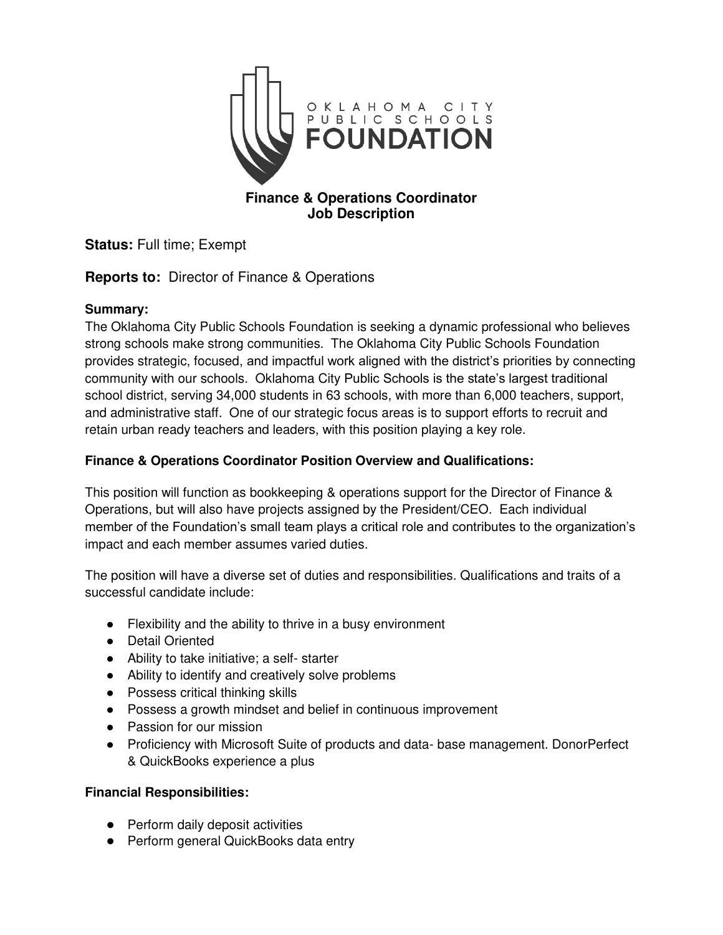

## **Finance & Operations Coordinator Job Description**

**Status:** Full time; Exempt

# **Reports to:** Director of Finance & Operations

## **Summary:**

The Oklahoma City Public Schools Foundation is seeking a dynamic professional who believes strong schools make strong communities. The Oklahoma City Public Schools Foundation provides strategic, focused, and impactful work aligned with the district's priorities by connecting community with our schools. Oklahoma City Public Schools is the state's largest traditional school district, serving 34,000 students in 63 schools, with more than 6,000 teachers, support, and administrative staff. One of our strategic focus areas is to support efforts to recruit and retain urban ready teachers and leaders, with this position playing a key role.

## **Finance & Operations Coordinator Position Overview and Qualifications:**

This position will function as bookkeeping & operations support for the Director of Finance & Operations, but will also have projects assigned by the President/CEO. Each individual member of the Foundation's small team plays a critical role and contributes to the organization's impact and each member assumes varied duties.

The position will have a diverse set of duties and responsibilities. Qualifications and traits of a successful candidate include:

- Flexibility and the ability to thrive in a busy environment
- Detail Oriented
- Ability to take initiative; a self- starter
- Ability to identify and creatively solve problems
- Possess critical thinking skills
- Possess a growth mindset and belief in continuous improvement
- Passion for our mission
- Proficiency with Microsoft Suite of products and data- base management. DonorPerfect & QuickBooks experience a plus

### **Financial Responsibilities:**

- Perform daily deposit activities
- Perform general QuickBooks data entry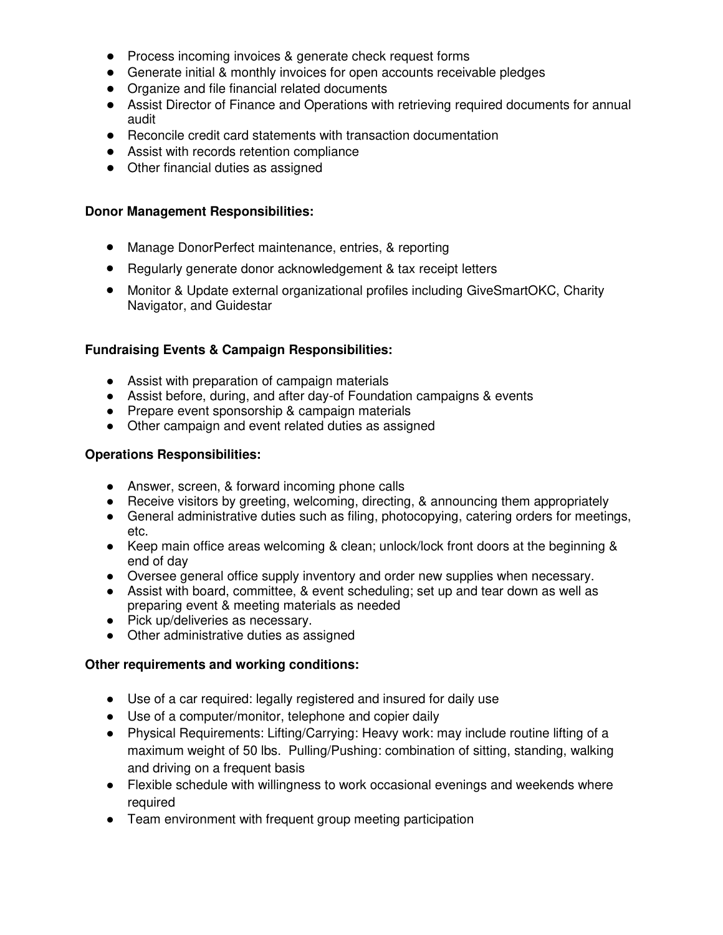- Process incoming invoices & generate check request forms
- Generate initial & monthly invoices for open accounts receivable pledges
- Organize and file financial related documents
- Assist Director of Finance and Operations with retrieving required documents for annual audit
- Reconcile credit card statements with transaction documentation
- Assist with records retention compliance
- Other financial duties as assigned

#### **Donor Management Responsibilities:**

- Manage DonorPerfect maintenance, entries, & reporting
- Regularly generate donor acknowledgement & tax receipt letters
- Monitor & Update external organizational profiles including GiveSmartOKC, Charity Navigator, and Guidestar

#### **Fundraising Events & Campaign Responsibilities:**

- Assist with preparation of campaign materials
- Assist before, during, and after day-of Foundation campaigns & events
- Prepare event sponsorship & campaign materials
- Other campaign and event related duties as assigned

#### **Operations Responsibilities:**

- Answer, screen, & forward incoming phone calls
- Receive visitors by greeting, welcoming, directing, & announcing them appropriately
- General administrative duties such as filing, photocopying, catering orders for meetings, etc.
- Keep main office areas welcoming & clean; unlock/lock front doors at the beginning & end of day
- Oversee general office supply inventory and order new supplies when necessary.
- Assist with board, committee, & event scheduling; set up and tear down as well as preparing event & meeting materials as needed
- Pick up/deliveries as necessary.
- Other administrative duties as assigned

#### **Other requirements and working conditions:**

- Use of a car required: legally registered and insured for daily use
- Use of a computer/monitor, telephone and copier daily
- Physical Requirements: Lifting/Carrying: Heavy work: may include routine lifting of a maximum weight of 50 lbs. Pulling/Pushing: combination of sitting, standing, walking and driving on a frequent basis
- Flexible schedule with willingness to work occasional evenings and weekends where required
- Team environment with frequent group meeting participation